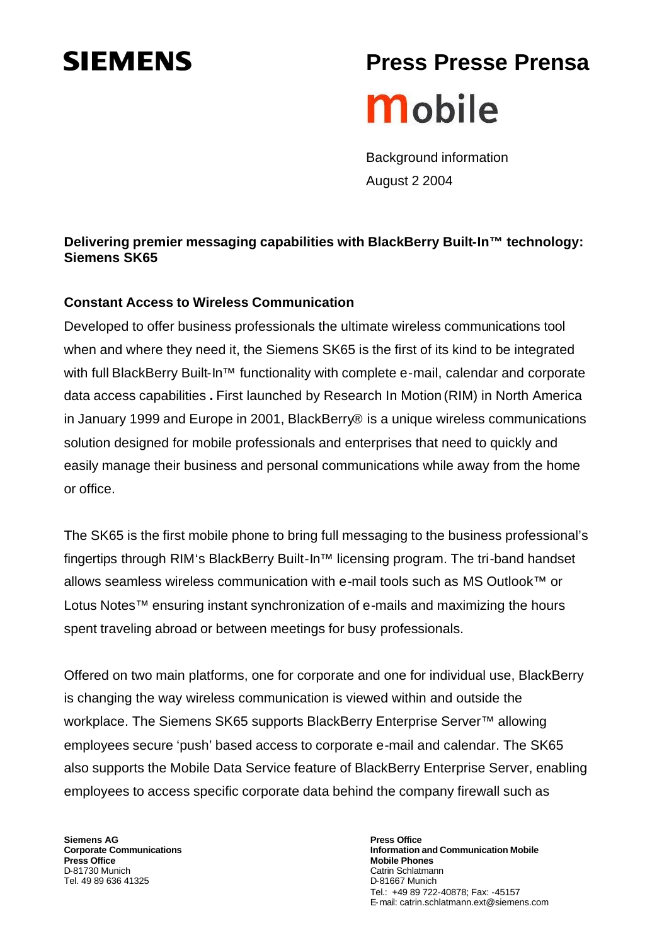# **SIEMENS**

# **Press Presse PrensaMobile**

Background information August 2 2004

## **Delivering premier messaging capabilities with BlackBerry Built-In™ technology: Siemens SK65**

### **Constant Access to Wireless Communication**

Developed to offer business professionals the ultimate wireless communications tool when and where they need it, the Siemens SK65 is the first of its kind to be integrated with full BlackBerry Built-In™ functionality with complete e-mail, calendar and corporate data access capabilities **.** First launched by Research In Motion (RIM) in North America in January 1999 and Europe in 2001, BlackBerry® is a unique wireless communications solution designed for mobile professionals and enterprises that need to quickly and easily manage their business and personal communications while away from the home or office.

The SK65 is the first mobile phone to bring full messaging to the business professional's fingertips through RIM's BlackBerry Built-In™ licensing program. The tri-band handset allows seamless wireless communication with e-mail tools such as MS Outlook™ or Lotus Notes™ ensuring instant synchronization of e-mails and maximizing the hours spent traveling abroad or between meetings for busy professionals.

Offered on two main platforms, one for corporate and one for individual use, BlackBerry is changing the way wireless communication is viewed within and outside the workplace. The Siemens SK65 supports BlackBerry Enterprise Server™ allowing employees secure 'push' based access to corporate e-mail and calendar. The SK65 also supports the Mobile Data Service feature of BlackBerry Enterprise Server, enabling employees to access specific corporate data behind the company firewall such as

**Siemens AG Corporate Communications Press Office** D-81730 Munich Tel. 49 89 636 41325

**Press Office Information and Communication Mobile Mobile Phones** Catrin Schlatmann D-81667 Munich Tel.: +49 89 722-40878; Fax: -45157 E-mail: catrin.schlatmann.ext@siemens.com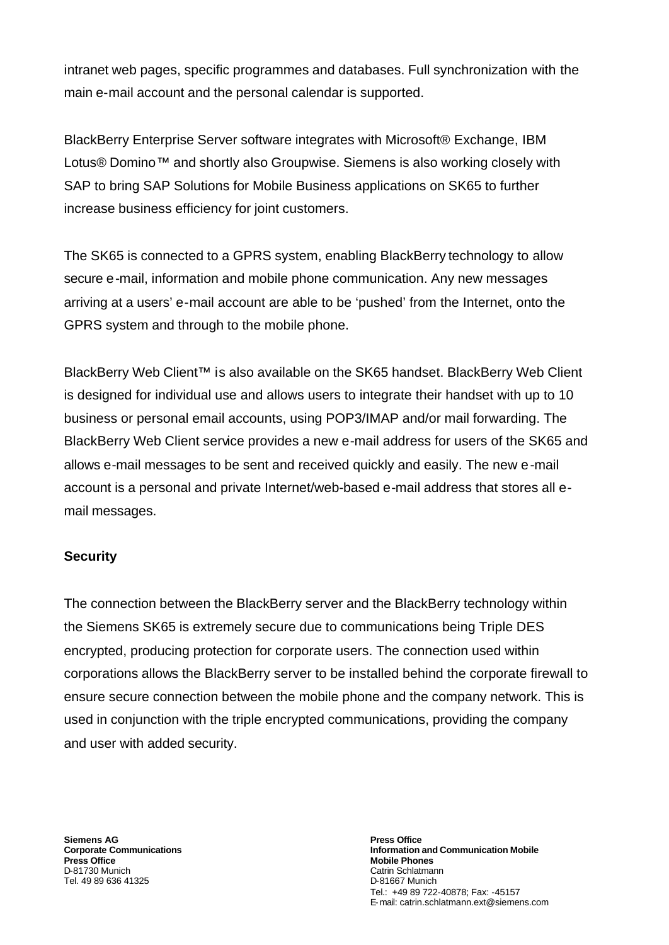intranet web pages, specific programmes and databases. Full synchronization with the main e-mail account and the personal calendar is supported.

BlackBerry Enterprise Server software integrates with Microsoft® Exchange, IBM Lotus® Domino™ and shortly also Groupwise. Siemens is also working closely with SAP to bring SAP Solutions for Mobile Business applications on SK65 to further increase business efficiency for joint customers.

The SK65 is connected to a GPRS system, enabling BlackBerry technology to allow secure e-mail, information and mobile phone communication. Any new messages arriving at a users' e-mail account are able to be 'pushed' from the Internet, onto the GPRS system and through to the mobile phone.

BlackBerry Web Client™ is also available on the SK65 handset. BlackBerry Web Client is designed for individual use and allows users to integrate their handset with up to 10 business or personal email accounts, using POP3/IMAP and/or mail forwarding. The BlackBerry Web Client service provides a new e-mail address for users of the SK65 and allows e-mail messages to be sent and received quickly and easily. The new e-mail account is a personal and private Internet/web-based e-mail address that stores all email messages.

#### **Security**

The connection between the BlackBerry server and the BlackBerry technology within the Siemens SK65 is extremely secure due to communications being Triple DES encrypted, producing protection for corporate users. The connection used within corporations allows the BlackBerry server to be installed behind the corporate firewall to ensure secure connection between the mobile phone and the company network. This is used in conjunction with the triple encrypted communications, providing the company and user with added security.

**Siemens AG Corporate Communications Press Office** D-81730 Munich Tel. 49 89 636 41325

**Press Office Information and Communication Mobile Mobile Phones** Catrin Schlatmann D-81667 Munich Tel.: +49 89 722-40878; Fax: -45157 E-mail: catrin.schlatmann.ext@siemens.com